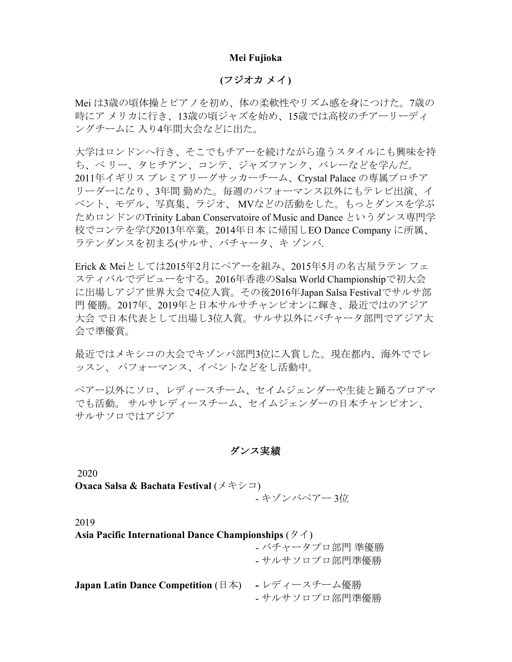#### **Mei Fujioka**

# **(**フジオカ メイ**)**

Mei は3歳の頃体操とピアノを初め、体の柔軟性やリズム感を身につけた。7歳の 時にア メリカに行き、13歳の頃ジャズを始め、15歳では高校のチアーリーディ ングチームに 入り4年間大会などに出た。

大学はロンドンへ行き、そこでもチアーを続けながら違うスタイルにも興味を持 ち、ベ リー、タヒチアン、コンテ、ジャズファンク、バレーなどを学んだ。 2011年イギリス プレミアリーグサッカーチーム、Crystal Palace の専属プロチア リーダーになり、3年間 勤めた。毎週のパフォーマンス以外にもテレビ出演、イ ベント、モデル、写真集、ラジオ、 MVなどの活動をした。もっとダンスを学ぶ ためロンドンのTrinity Laban Conservatoire of Music and Dance というダンス専門学 校でコンテを学び2013年卒業。2014年日本 に帰国しEO Dance Company に所属、 ラテンダンスを初まる(サルサ、バチャータ、キ ゾンバ.

Erick & Meiとしては2015年2月にペアーを組み、2015年5月の名古屋ラテン フェ スティバルでデビューをする。2016年香港のSalsa World Championshipで初大会 に出場しアジア世界大会で4位入賞。その後2016年Japan Salsa Festivalでサルサ部 門 優勝。2017年、2019年と日本サルサチャンピオンに輝き、最近ではのアジア 大会 で日本代表として出場し3位入賞。サルサ以外にバチャータ部門でアジア大 会で準優賞。

最近ではメキシコの大会でキゾンバ部門3位に入賞した。現在都内、海外ででレ ッスン、 パフォーマンス、イベントなどをし活動中。

ペアー以外にソロ、レディースチーム、セイムジェンダーや生徒と踊るプロアマ でも活動。 サルサレディースチーム、セイムジェンダーの日本チャンピオン、 サルサソロではアジア

### ダンス実績

2020

**Oxaca Salsa & Bachata Festival** (メキシコ)

- キゾンバペアー 3位

2019

| Asia Pacific International Dance Championships ( $\cancel{\sigma}$ ) |                                   |
|----------------------------------------------------------------------|-----------------------------------|
|                                                                      | - バチャータプロ部門 準優勝<br>- サルサソロプロ部門準優勝 |
| <b>Japan Latin Dance Competition</b> ( $\exists \neq$ )              | - レディースチーム優勝<br>- サルサソロプロ部門準優勝    |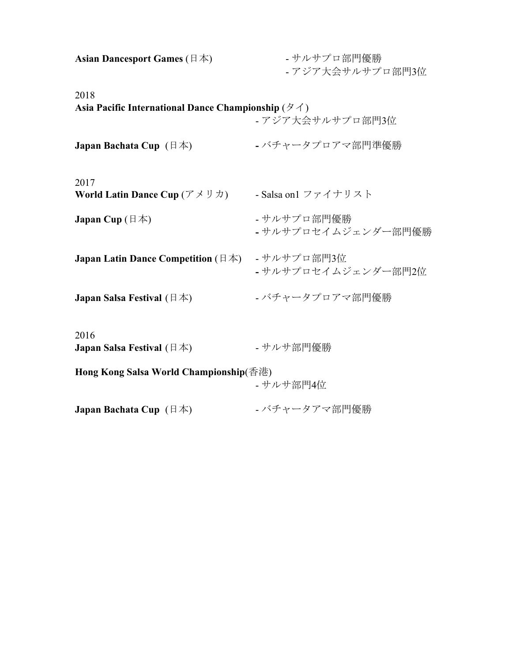| Asian Dancesport Games ( $\boxplus \cancel{\pm}$ )                                           | - サルサプロ部門優勝<br>- アジア大会サルサプロ部門3位    |
|----------------------------------------------------------------------------------------------|------------------------------------|
| 2018<br>Asia Pacific International Dance Championship ( $\cancel{\sigma}$ /)                 | - アジア大会サルサプロ部門3位                   |
| <b>Japan Bachata Cup</b> $(\exists \nexists x)$                                              | - バチャータプロアマ部門準優勝                   |
| 2017<br><b>World Latin Dance Cup</b> ( $\mathcal{T} \times \mathcal{Y} \times \mathcal{Y}$ ) | - Salsa on1 ファイナリスト                |
| <b>Japan Cup</b> ( $\boxplus$ $\uparrow$ )                                                   | - サルサプロ部門優勝<br>- サルサプロセイムジェンダー部門優勝 |
| Japan Latin Dance Competition (日本)                                                           | - サルサプロ部門3位<br>- サルサプロセイムジェンダー部門2位 |
| <b>Japan Salsa Festival</b> $(\exists \nexists x)$                                           | - バチャータプロアマ部門優勝                    |
| 2016<br><b>Japan Salsa Festival</b> $(\exists \nexists x)$                                   | - サルサ部門優勝                          |
| Hong Kong Salsa World Championship(香港)                                                       | - サルサ部門4位                          |
| <b>Japan Bachata Cup</b> $(\exists \nexists x)$                                              | - バチャータアマ部門優勝                      |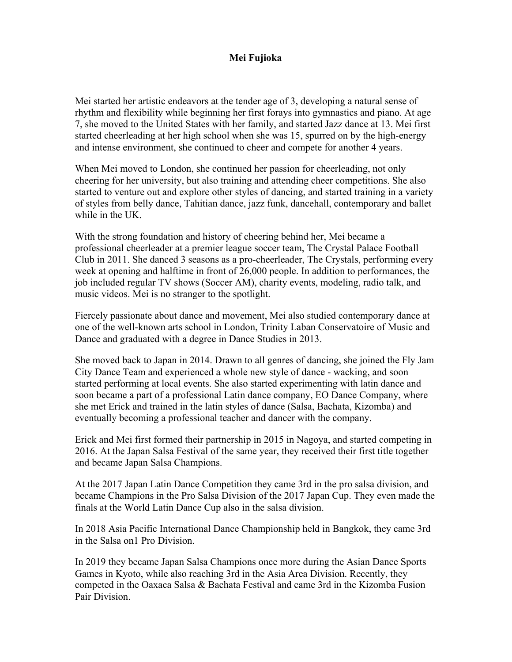# **Mei Fujioka**

Mei started her artistic endeavors at the tender age of 3, developing a natural sense of rhythm and flexibility while beginning her first forays into gymnastics and piano. At age 7, she moved to the United States with her family, and started Jazz dance at 13. Mei first started cheerleading at her high school when she was 15, spurred on by the high-energy and intense environment, she continued to cheer and compete for another 4 years.

When Mei moved to London, she continued her passion for cheerleading, not only cheering for her university, but also training and attending cheer competitions. She also started to venture out and explore other styles of dancing, and started training in a variety of styles from belly dance, Tahitian dance, jazz funk, dancehall, contemporary and ballet while in the UK.

With the strong foundation and history of cheering behind her, Mei became a professional cheerleader at a premier league soccer team, The Crystal Palace Football Club in 2011. She danced 3 seasons as a pro-cheerleader, The Crystals, performing every week at opening and halftime in front of 26,000 people. In addition to performances, the job included regular TV shows (Soccer AM), charity events, modeling, radio talk, and music videos. Mei is no stranger to the spotlight.

Fiercely passionate about dance and movement, Mei also studied contemporary dance at one of the well-known arts school in London, Trinity Laban Conservatoire of Music and Dance and graduated with a degree in Dance Studies in 2013.

She moved back to Japan in 2014. Drawn to all genres of dancing, she joined the Fly Jam City Dance Team and experienced a whole new style of dance - wacking, and soon started performing at local events. She also started experimenting with latin dance and soon became a part of a professional Latin dance company, EO Dance Company, where she met Erick and trained in the latin styles of dance (Salsa, Bachata, Kizomba) and eventually becoming a professional teacher and dancer with the company.

Erick and Mei first formed their partnership in 2015 in Nagoya, and started competing in 2016. At the Japan Salsa Festival of the same year, they received their first title together and became Japan Salsa Champions.

At the 2017 Japan Latin Dance Competition they came 3rd in the pro salsa division, and became Champions in the Pro Salsa Division of the 2017 Japan Cup. They even made the finals at the World Latin Dance Cup also in the salsa division.

In 2018 Asia Pacific International Dance Championship held in Bangkok, they came 3rd in the Salsa on1 Pro Division.

In 2019 they became Japan Salsa Champions once more during the Asian Dance Sports Games in Kyoto, while also reaching 3rd in the Asia Area Division. Recently, they competed in the Oaxaca Salsa & Bachata Festival and came 3rd in the Kizomba Fusion Pair Division.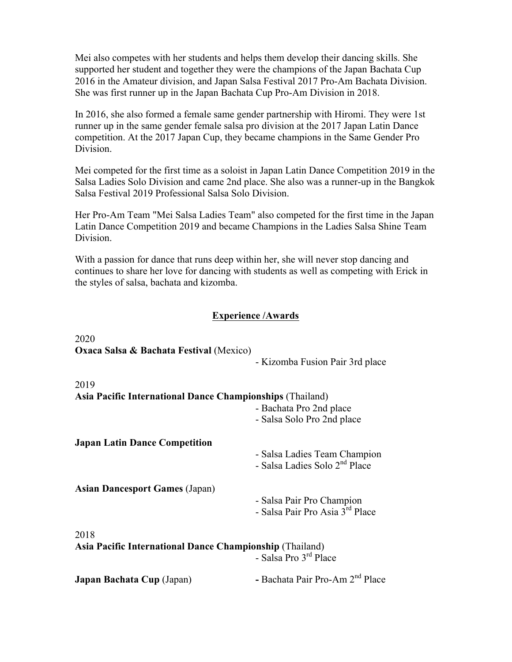Mei also competes with her students and helps them develop their dancing skills. She supported her student and together they were the champions of the Japan Bachata Cup 2016 in the Amateur division, and Japan Salsa Festival 2017 Pro-Am Bachata Division. She was first runner up in the Japan Bachata Cup Pro-Am Division in 2018.

In 2016, she also formed a female same gender partnership with Hiromi. They were 1st runner up in the same gender female salsa pro division at the 2017 Japan Latin Dance competition. At the 2017 Japan Cup, they became champions in the Same Gender Pro Division.

Mei competed for the first time as a soloist in Japan Latin Dance Competition 2019 in the Salsa Ladies Solo Division and came 2nd place. She also was a runner-up in the Bangkok Salsa Festival 2019 Professional Salsa Solo Division.

Her Pro-Am Team "Mei Salsa Ladies Team" also competed for the first time in the Japan Latin Dance Competition 2019 and became Champions in the Ladies Salsa Shine Team Division.

With a passion for dance that runs deep within her, she will never stop dancing and continues to share her love for dancing with students as well as competing with Erick in the styles of salsa, bachata and kizomba.

# **Experience /Awards**

| 2020                                                             |                                             |  |
|------------------------------------------------------------------|---------------------------------------------|--|
| <b>Oxaca Salsa &amp; Bachata Festival (Mexico)</b>               |                                             |  |
|                                                                  | - Kizomba Fusion Pair 3rd place             |  |
| 2019                                                             |                                             |  |
| <b>Asia Pacific International Dance Championships (Thailand)</b> |                                             |  |
|                                                                  | - Bachata Pro 2nd place                     |  |
|                                                                  | - Salsa Solo Pro 2nd place                  |  |
| <b>Japan Latin Dance Competition</b>                             |                                             |  |
|                                                                  | - Salsa Ladies Team Champion                |  |
|                                                                  | - Salsa Ladies Solo 2 <sup>nd</sup> Place   |  |
| <b>Asian Dancesport Games (Japan)</b>                            |                                             |  |
|                                                                  | - Salsa Pair Pro Champion                   |  |
|                                                                  | - Salsa Pair Pro Asia 3rd Place             |  |
| 2018                                                             |                                             |  |
| Asia Pacific International Dance Championship (Thailand)         |                                             |  |
|                                                                  | - Salsa Pro 3 <sup>rd</sup> Place           |  |
| Japan Bachata Cup (Japan)                                        | - Bachata Pair Pro-Am 2 <sup>nd</sup> Place |  |